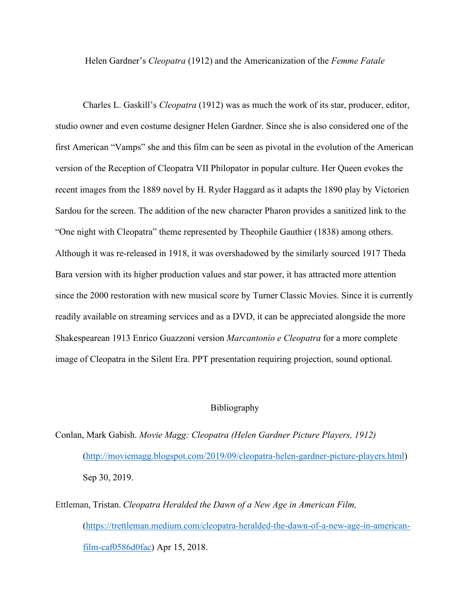Helen Gardner's *Cleopatra* (1912) and the Americanization of the *Femme Fatale*

Charles L. Gaskill's *Cleopatra* (1912) was as much the work of its star, producer, editor, studio owner and even costume designer Helen Gardner. Since she is also considered one of the first American "Vamps" she and this film can be seen as pivotal in the evolution of the American version of the Reception of Cleopatra VII Philopator in popular culture. Her Queen evokes the recent images from the 1889 novel by H. Ryder Haggard as it adapts the 1890 play by Victorien Sardou for the screen. The addition of the new character Pharon provides a sanitized link to the "One night with Cleopatra" theme represented by Theophile Gauthier (1838) among others. Although it was re-released in 1918, it was overshadowed by the similarly sourced 1917 Theda Bara version with its higher production values and star power, it has attracted more attention since the 2000 restoration with new musical score by Turner Classic Movies. Since it is currently readily available on streaming services and as a DVD, it can be appreciated alongside the more Shakespearean 1913 Enrico Guazzoni version *Marcantonio e Cleopatra* for a more complete image of Cleopatra in the Silent Era. PPT presentation requiring projection, sound optional.

## Bibliography

Conlan, Mark Gabish. *Movie Magg: Cleopatra (Helen Gardner Picture Players, 1912)* [\(http://moviemagg.blogspot.com/2019/09/cleopatra-helen-gardner-picture-players.html\)](http://moviemagg.blogspot.com/2019/09/cleopatra-helen-gardner-picture-players.html) Sep 30, 2019.

[Ettleman,](https://trettleman.medium.com/?source=post_page-----caf0586d0fac--------------------------------) Tristan. *Cleopatra Heralded the Dawn of a New Age in American Film,*  [\(https://trettleman.medium.com/cleopatra-heralded-the-dawn-of-a-new-age-in-american](https://trettleman.medium.com/cleopatra-heralded-the-dawn-of-a-new-age-in-american-film-caf0586d0fac)[film-caf0586d0fac\)](https://trettleman.medium.com/cleopatra-heralded-the-dawn-of-a-new-age-in-american-film-caf0586d0fac) Apr 15, 2018.